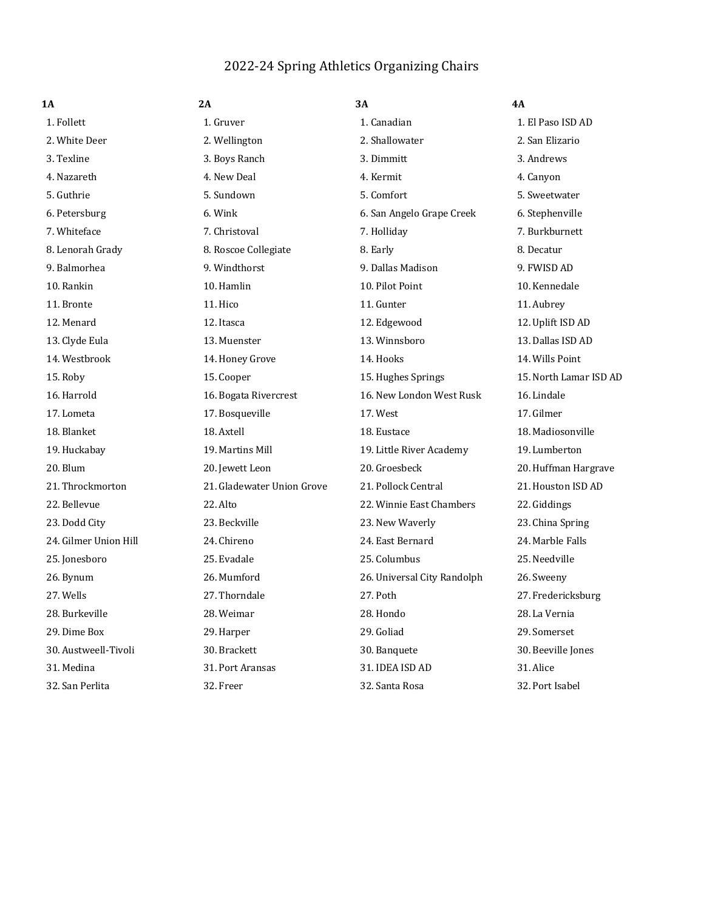## 2022-24 Spring Athletics Organizing Chairs

| 1A                    | 2A                         | 3А                          | 4A                     |
|-----------------------|----------------------------|-----------------------------|------------------------|
| 1. Follett            | 1. Gruver                  | 1. Canadian                 | 1. El Paso ISD AD      |
| 2. White Deer         | 2. Wellington              | 2. Shallowater              | 2. San Elizario        |
| 3. Texline            | 3. Boys Ranch              | 3. Dimmitt                  | 3. Andrews             |
| 4. Nazareth           | 4. New Deal                | 4. Kermit                   | 4. Canyon              |
| 5. Guthrie            | 5. Sundown                 | 5. Comfort                  | 5. Sweetwater          |
| 6. Petersburg         | 6. Wink                    | 6. San Angelo Grape Creek   | 6. Stephenville        |
| 7. Whiteface          | 7. Christoval              | 7. Holliday                 | 7. Burkburnett         |
| 8. Lenorah Grady      | 8. Roscoe Collegiate       | 8. Early                    | 8. Decatur             |
| 9. Balmorhea          | 9. Windthorst              | 9. Dallas Madison           | 9. FWISD AD            |
| 10. Rankin            | 10. Hamlin                 | 10. Pilot Point             | 10. Kennedale          |
| 11. Bronte            | 11. Hico                   | 11. Gunter                  | 11. Aubrey             |
| 12. Menard            | 12. Itasca                 | 12. Edgewood                | 12. Uplift ISD AD      |
| 13. Clyde Eula        | 13. Muenster               | 13. Winnsboro               | 13. Dallas ISD AD      |
| 14. Westbrook         | 14. Honey Grove            | 14. Hooks                   | 14. Wills Point        |
| 15. Roby              | 15. Cooper                 | 15. Hughes Springs          | 15. North Lamar ISD AD |
| 16. Harrold           | 16. Bogata Rivercrest      | 16. New London West Rusk    | 16. Lindale            |
| 17. Lometa            | 17. Bosqueville            | 17. West                    | 17. Gilmer             |
| 18. Blanket           | 18. Axtell                 | 18. Eustace                 | 18. Madiosonville      |
| 19. Huckabay          | 19. Martins Mill           | 19. Little River Academy    | 19. Lumberton          |
| 20. Blum              | 20. Jewett Leon            | 20. Groesbeck               | 20. Huffman Hargrave   |
| 21. Throckmorton      | 21. Gladewater Union Grove | 21. Pollock Central         | 21. Houston ISD AD     |
| 22. Bellevue          | $22.$ Alto                 | 22. Winnie East Chambers    | 22. Giddings           |
| 23. Dodd City         | 23. Beckville              | 23. New Waverly             | 23. China Spring       |
| 24. Gilmer Union Hill | 24. Chireno                | 24. East Bernard            | 24. Marble Falls       |
| 25. Jonesboro         | 25. Evadale                | 25. Columbus                | 25. Needville          |
| 26. Bynum             | 26. Mumford                | 26. Universal City Randolph | 26. Sweeny             |
| 27. Wells             | 27. Thorndale              | 27. Poth                    | 27. Fredericksburg     |
| 28. Burkeville        | 28. Weimar                 | 28. Hondo                   | 28. La Vernia          |
| 29. Dime Box          | 29. Harper                 | 29. Goliad                  | 29. Somerset           |
| 30. Austweell-Tivoli  | 30. Brackett               | 30. Banquete                | 30. Beeville Jones     |
| 31. Medina            | 31. Port Aransas           | 31. IDEA ISD AD             | 31. Alice              |
| 32. San Perlita       | 32. Freer                  | 32. Santa Rosa              | 32. Port Isabel        |